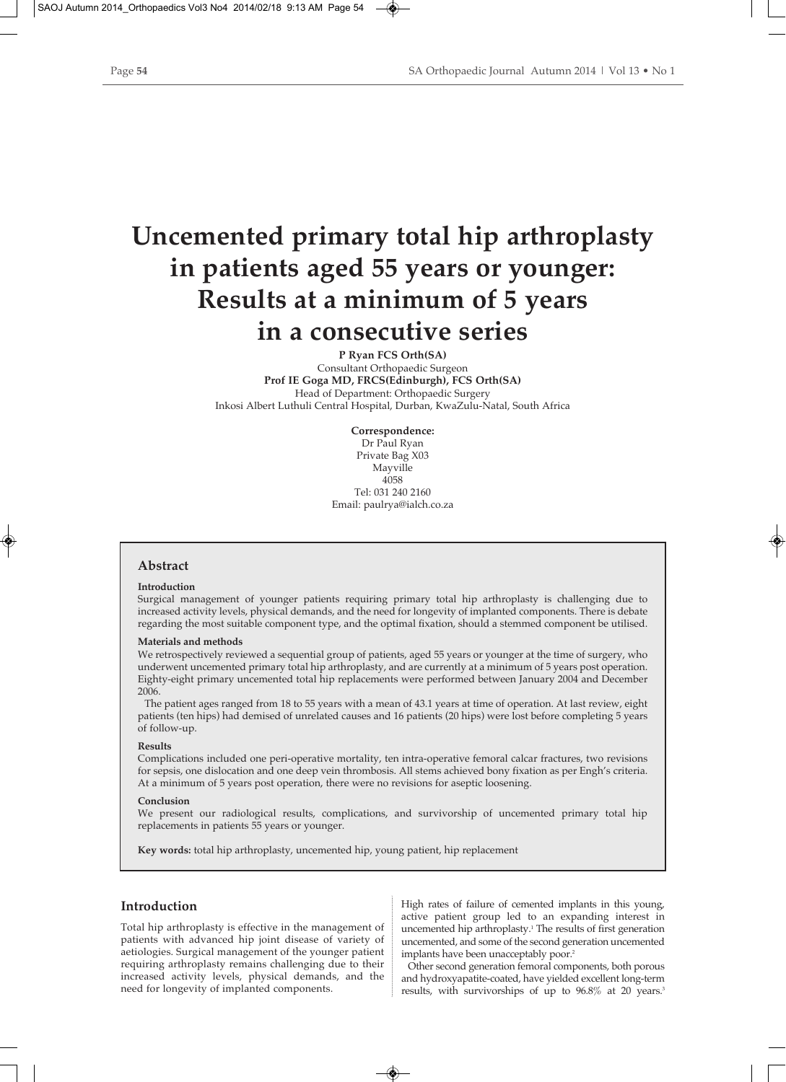# **Uncemented primary total hip arthroplasty in patients aged 55 years or younger: Results at a minimum of 5 years in a consecutive series**

**P Ryan FCS Orth(SA)** Consultant Orthopaedic Surgeon **Prof IE Goga MD, FRCS(Edinburgh), FCS Orth(SA)** Head of Department: Orthopaedic Surgery Inkosi Albert Luthuli Central Hospital, Durban, KwaZulu-Natal, South Africa

> **Correspondence:**  Dr Paul Ryan Private Bag X03 Mayville 4058 Tel: 031 240 2160 Email: paulrya@ialch.co.za

# **Abstract**

### **Introduction**

Surgical management of younger patients requiring primary total hip arthroplasty is challenging due to increased activity levels, physical demands, and the need for longevity of implanted components. There is debate regarding the most suitable component type, and the optimal fixation, should a stemmed component be utilised.

### **Materials and methods**

We retrospectively reviewed a sequential group of patients, aged 55 years or younger at the time of surgery, who underwent uncemented primary total hip arthroplasty, and are currently at a minimum of 5 years post operation. Eighty-eight primary uncemented total hip replacements were performed between January 2004 and December 2006.

The patient ages ranged from 18 to 55 years with a mean of 43.1 years at time of operation. At last review, eight patients (ten hips) had demised of unrelated causes and 16 patients (20 hips) were lost before completing 5 years of follow-up.

### **Results**

Complications included one peri-operative mortality, ten intra-operative femoral calcar fractures, two revisions for sepsis, one dislocation and one deep vein thrombosis. All stems achieved bony fixation as per Engh's criteria. At a minimum of 5 years post operation, there were no revisions for aseptic loosening.

### **Conclusion**

We present our radiological results, complications, and survivorship of uncemented primary total hip replacements in patients 55 years or younger.

**Key words:** total hip arthroplasty, uncemented hip, young patient, hip replacement

# **Introduction**

Total hip arthroplasty is effective in the management of patients with advanced hip joint disease of variety of aetiologies. Surgical management of the younger patient requiring arthroplasty remains challenging due to their increased activity levels, physical demands, and the need for longevity of implanted components.

High rates of failure of cemented implants in this young, active patient group led to an expanding interest in uncemented hip arthroplasty.1 The results of first generation uncemented, and some of the second generation uncemented implants have been unacceptably poor.<sup>2</sup>

Other second generation femoral components, both porous and hydroxyapatite-coated, have yielded excellent long-term results, with survivorships of up to 96.8% at 20 years.<sup>3</sup>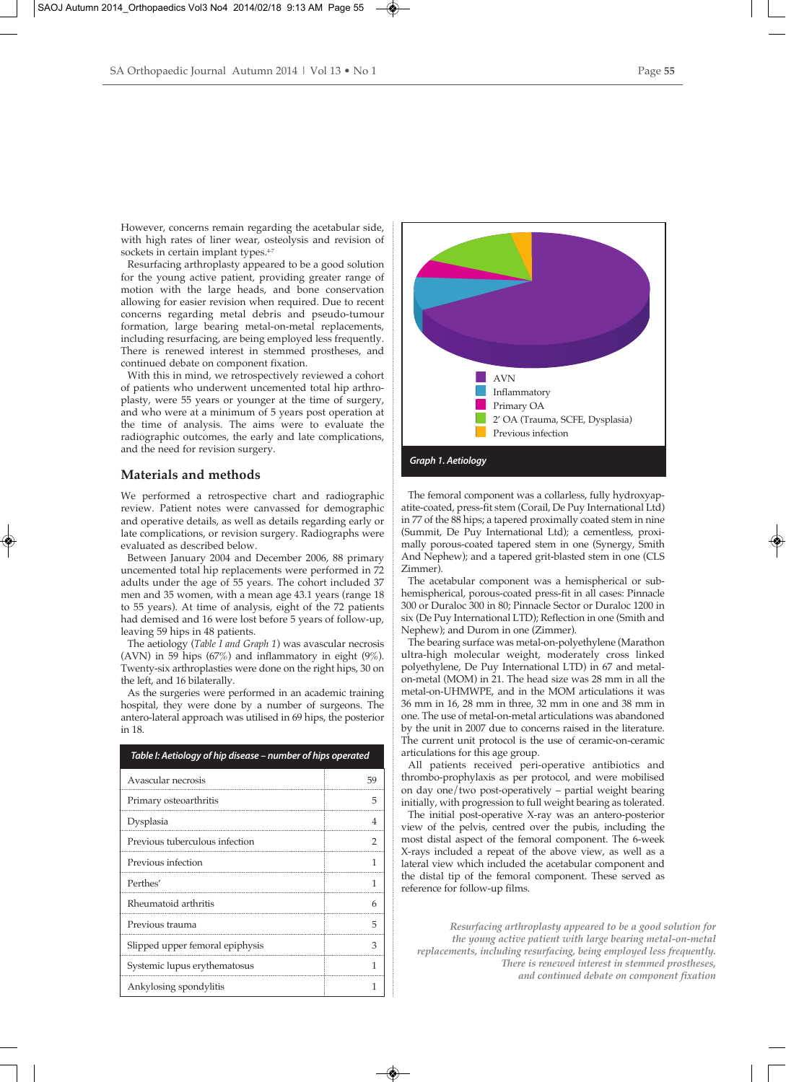However, concerns remain regarding the acetabular side, with high rates of liner wear, osteolysis and revision of sockets in certain implant types.<sup>4-7</sup>

Resurfacing arthroplasty appeared to be a good solution for the young active patient, providing greater range of motion with the large heads, and bone conservation allowing for easier revision when required. Due to recent concerns regarding metal debris and pseudo-tumour formation, large bearing metal-on-metal replacements, including resurfacing, are being employed less frequently. There is renewed interest in stemmed prostheses, and continued debate on component fixation.

With this in mind, we retrospectively reviewed a cohort of patients who underwent uncemented total hip arthroplasty, were 55 years or younger at the time of surgery, and who were at a minimum of 5 years post operation at the time of analysis. The aims were to evaluate the radiographic outcomes, the early and late complications, and the need for revision surgery.

# **Materials and methods**

We performed a retrospective chart and radiographic review. Patient notes were canvassed for demographic and operative details, as well as details regarding early or late complications, or revision surgery. Radiographs were evaluated as described below.

Between January 2004 and December 2006, 88 primary uncemented total hip replacements were performed in 72 adults under the age of 55 years. The cohort included 37 men and 35 women, with a mean age 43.1 years (range 18 to 55 years). At time of analysis, eight of the 72 patients had demised and 16 were lost before 5 years of follow-up, leaving 59 hips in 48 patients.

The aetiology (*Table I and Graph 1*) was avascular necrosis (AVN) in 59 hips  $(67%)$  and inflammatory in eight  $(9%)$ . Twenty-six arthroplasties were done on the right hips, 30 on the left, and 16 bilaterally.

As the surgeries were performed in an academic training hospital, they were done by a number of surgeons. The antero-lateral approach was utilised in 69 hips, the posterior in 18.

| Table I: Aetiology of hip disease – number of hips operated |    |
|-------------------------------------------------------------|----|
| Avascular necrosis                                          | 59 |
| Primary osteoarthritis                                      | 5  |
| Dysplasia                                                   |    |
| Previous tuberculous infection                              |    |
| Previous infection                                          |    |
| Perthes'                                                    |    |
| Rheumatoid arthritis                                        | 6  |
| Previous trauma                                             | 5  |
| Slipped upper femoral epiphysis                             | З  |
| Systemic lupus erythematosus                                |    |
| Ankylosing spondylitis                                      |    |



The femoral component was a collarless, fully hydroxyapatite-coated, press-fit stem (Corail, De Puy International Ltd) in 77 of the 88 hips; a tapered proximally coated stem in nine (Summit, De Puy International Ltd); a cementless, proximally porous-coated tapered stem in one (Synergy, Smith And Nephew); and a tapered grit-blasted stem in one (CLS Zimmer).

The acetabular component was a hemispherical or subhemispherical, porous-coated press-fit in all cases: Pinnacle 300 or Duraloc 300 in 80; Pinnacle Sector or Duraloc 1200 in six (De Puy International LTD); Reflection in one (Smith and Nephew); and Durom in one (Zimmer).

The bearing surface was metal-on-polyethylene (Marathon ultra-high molecular weight, moderately cross linked polyethylene, De Puy International LTD) in 67 and metalon-metal (MOM) in 21. The head size was 28 mm in all the metal-on-UHMWPE, and in the MOM articulations it was 36 mm in 16, 28 mm in three, 32 mm in one and 38 mm in one. The use of metal-on-metal articulations was abandoned by the unit in 2007 due to concerns raised in the literature. The current unit protocol is the use of ceramic-on-ceramic articulations for this age group.

All patients received peri-operative antibiotics and thrombo-prophylaxis as per protocol, and were mobilised on day one/two post-operatively – partial weight bearing initially, with progression to full weight bearing as tolerated.

The initial post-operative X-ray was an antero-posterior view of the pelvis, centred over the pubis, including the most distal aspect of the femoral component. The 6-week X-rays included a repeat of the above view, as well as a lateral view which included the acetabular component and the distal tip of the femoral component. These served as reference for follow-up films.

*Resurfacing arthroplasty appeared to be a good solution for the young active patient with large bearing metal-on-metal replacements, including resurfacing, being employed less frequently. There is renewed interest in stemmed prostheses, and continued debate on component fixation*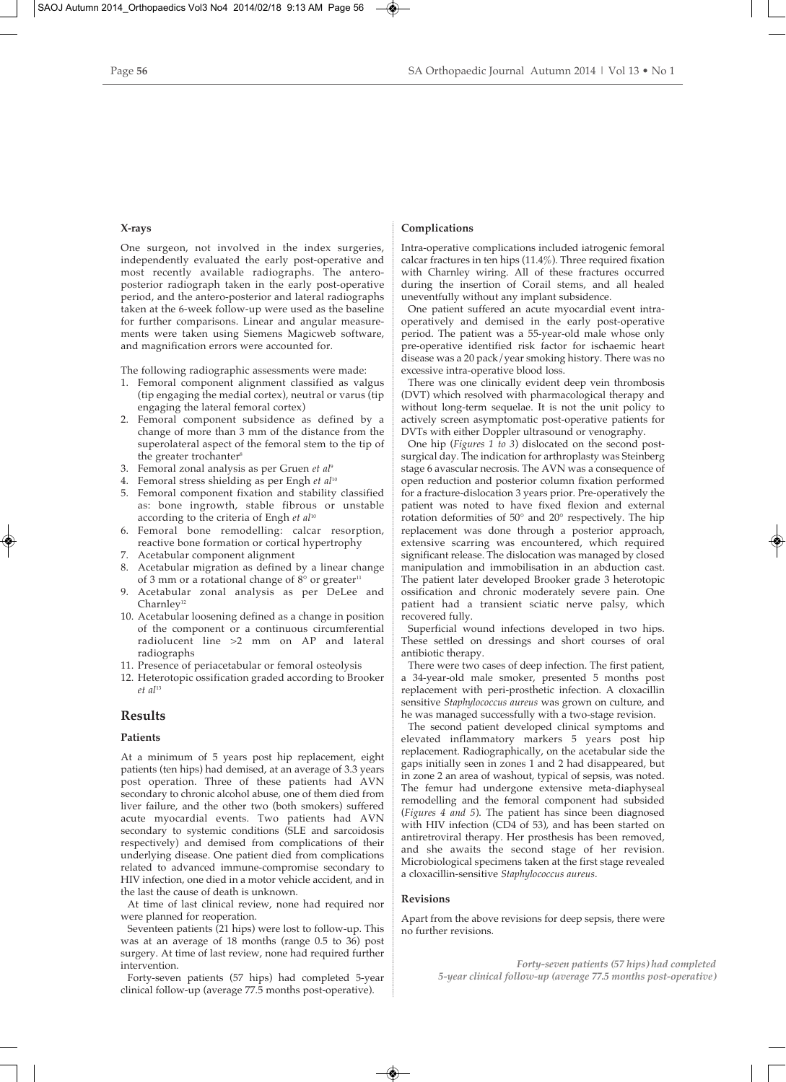## **X-rays**

One surgeon, not involved in the index surgeries, independently evaluated the early post-operative and most recently available radiographs. The anteroposterior radiograph taken in the early post-operative period, and the antero-posterior and lateral radiographs taken at the 6-week follow-up were used as the baseline for further comparisons. Linear and angular measurements were taken using Siemens Magicweb software, and magnification errors were accounted for.

The following radiographic assessments were made:

- 1. Femoral component alignment classified as valgus (tip engaging the medial cortex), neutral or varus (tip engaging the lateral femoral cortex)
- 2. Femoral component subsidence as defined by a change of more than 3 mm of the distance from the superolateral aspect of the femoral stem to the tip of the greater trochanter<sup>8</sup>
- 3. Femoral zonal analysis as per Gruen *et al*<sup>9</sup>
- 4. Femoral stress shielding as per Engh *et al*<sup>10</sup>
- 5. Femoral component fixation and stability classified as: bone ingrowth, stable fibrous or unstable according to the criteria of Engh *et al*<sup>10</sup>
- 6. Femoral bone remodelling: calcar resorption, reactive bone formation or cortical hypertrophy
- 7. Acetabular component alignment
- 8. Acetabular migration as defined by a linear change of 3 mm or a rotational change of  $8^{\circ}$  or greater<sup>11</sup>
- 9. Acetabular zonal analysis as per DeLee and  $Charnley<sup>12</sup>$
- 10. Acetabular loosening defined as a change in position of the component or a continuous circumferential radiolucent line >2 mm on AP and lateral radiographs
- 11. Presence of periacetabular or femoral osteolysis
- 12. Heterotopic ossification graded according to Brooker *et al*<sup>13</sup>

# **Results**

## **Patients**

At a minimum of 5 years post hip replacement, eight patients (ten hips) had demised, at an average of 3.3 years post operation. Three of these patients had AVN secondary to chronic alcohol abuse, one of them died from liver failure, and the other two (both smokers) suffered acute myocardial events. Two patients had AVN secondary to systemic conditions (SLE and sarcoidosis respectively) and demised from complications of their underlying disease. One patient died from complications related to advanced immune-compromise secondary to HIV infection, one died in a motor vehicle accident, and in the last the cause of death is unknown.

At time of last clinical review, none had required nor were planned for reoperation.

Seventeen patients (21 hips) were lost to follow-up. This was at an average of 18 months (range 0.5 to 36) post surgery. At time of last review, none had required further intervention.

Forty-seven patients (57 hips) had completed 5-year clinical follow-up (average 77.5 months post-operative).

## **Complications**

Intra-operative complications included iatrogenic femoral calcar fractures in ten hips (11.4%). Three required fixation with Charnley wiring. All of these fractures occurred during the insertion of Corail stems, and all healed uneventfully without any implant subsidence.

One patient suffered an acute myocardial event intraoperatively and demised in the early post-operative period. The patient was a 55-year-old male whose only pre-operative identified risk factor for ischaemic heart disease was a 20 pack/year smoking history. There was no excessive intra-operative blood loss.

There was one clinically evident deep vein thrombosis (DVT) which resolved with pharmacological therapy and without long-term sequelae. It is not the unit policy to actively screen asymptomatic post-operative patients for DVTs with either Doppler ultrasound or venography.

One hip (*Figures 1 to 3*) dislocated on the second postsurgical day. The indication for arthroplasty was Steinberg stage 6 avascular necrosis. The AVN was a consequence of open reduction and posterior column fixation performed for a fracture-dislocation 3 years prior. Pre-operatively the patient was noted to have fixed flexion and external rotation deformities of 50° and 20° respectively. The hip replacement was done through a posterior approach, extensive scarring was encountered, which required significant release. The dislocation was managed by closed manipulation and immobilisation in an abduction cast. The patient later developed Brooker grade 3 heterotopic ossification and chronic moderately severe pain. One patient had a transient sciatic nerve palsy, which recovered fully.

Superficial wound infections developed in two hips. These settled on dressings and short courses of oral antibiotic therapy.

There were two cases of deep infection. The first patient, a 34-year-old male smoker, presented 5 months post replacement with peri-prosthetic infection. A cloxacillin sensitive *Staphylococcus aureus* was grown on culture, and he was managed successfully with a two-stage revision.

The second patient developed clinical symptoms and elevated inflammatory markers 5 years post hip replacement. Radiographically, on the acetabular side the gaps initially seen in zones 1 and 2 had disappeared, but in zone 2 an area of washout, typical of sepsis, was noted. The femur had undergone extensive meta-diaphyseal remodelling and the femoral component had subsided (*Figures 4 and 5*). The patient has since been diagnosed with HIV infection (CD4 of 53), and has been started on antiretroviral therapy. Her prosthesis has been removed, and she awaits the second stage of her revision. Microbiological specimens taken at the first stage revealed a cloxacillin-sensitive *Staphylococcus aureus*.

## **Revisions**

Apart from the above revisions for deep sepsis, there were no further revisions.

> *Forty-seven patients (57 hips) had completed 5-year clinical follow-up (average 77.5 months post-operative)*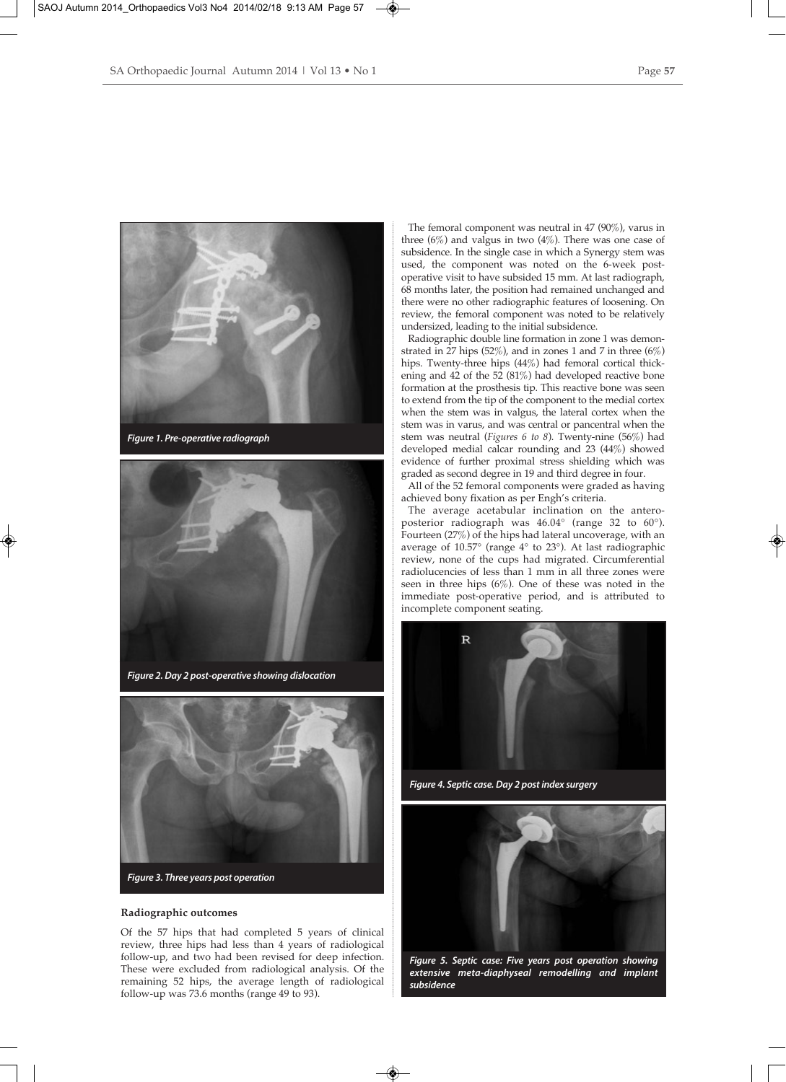

*Figure 1. Pre-operative radiograph*



*Figure 2. Day 2 post-operative showing dislocation*



## **Radiographic outcomes**

Of the 57 hips that had completed 5 years of clinical review, three hips had less than 4 years of radiological follow-up, and two had been revised for deep infection. These were excluded from radiological analysis. Of the remaining 52 hips, the average length of radiological follow-up was 73.6 months (range 49 to 93).

The femoral component was neutral in 47 (90%), varus in three  $(6\%)$  and valgus in two  $(4\%)$ . There was one case of subsidence. In the single case in which a Synergy stem was used, the component was noted on the 6-week postoperative visit to have subsided 15 mm. At last radiograph, 68 months later, the position had remained unchanged and there were no other radiographic features of loosening. On review, the femoral component was noted to be relatively undersized, leading to the initial subsidence.

Radiographic double line formation in zone 1 was demonstrated in 27 hips  $(52\%)$ , and in zones 1 and 7 in three  $(6\%)$ hips. Twenty-three hips (44%) had femoral cortical thickening and  $42$  of the  $52$   $(81\%)$  had developed reactive bone formation at the prosthesis tip. This reactive bone was seen to extend from the tip of the component to the medial cortex when the stem was in valgus, the lateral cortex when the stem was in varus, and was central or pancentral when the stem was neutral (*Figures 6 to 8*). Twenty-nine (56%) had developed medial calcar rounding and 23 (44%) showed evidence of further proximal stress shielding which was graded as second degree in 19 and third degree in four.

All of the 52 femoral components were graded as having achieved bony fixation as per Engh's criteria.

The average acetabular inclination on the anteroposterior radiograph was 46.04° (range 32 to 60°). Fourteen (27%) of the hips had lateral uncoverage, with an average of 10.57° (range 4° to 23°). At last radiographic review, none of the cups had migrated. Circumferential radiolucencies of less than 1 mm in all three zones were seen in three hips  $(6\%)$ . One of these was noted in the immediate post-operative period, and is attributed to incomplete component seating.



*Figure 4. Septic case. Day 2 post index surgery*



*Figure 5. Septic case: Five years post operation showing extensive meta-diaphyseal remodelling and implant subsidence*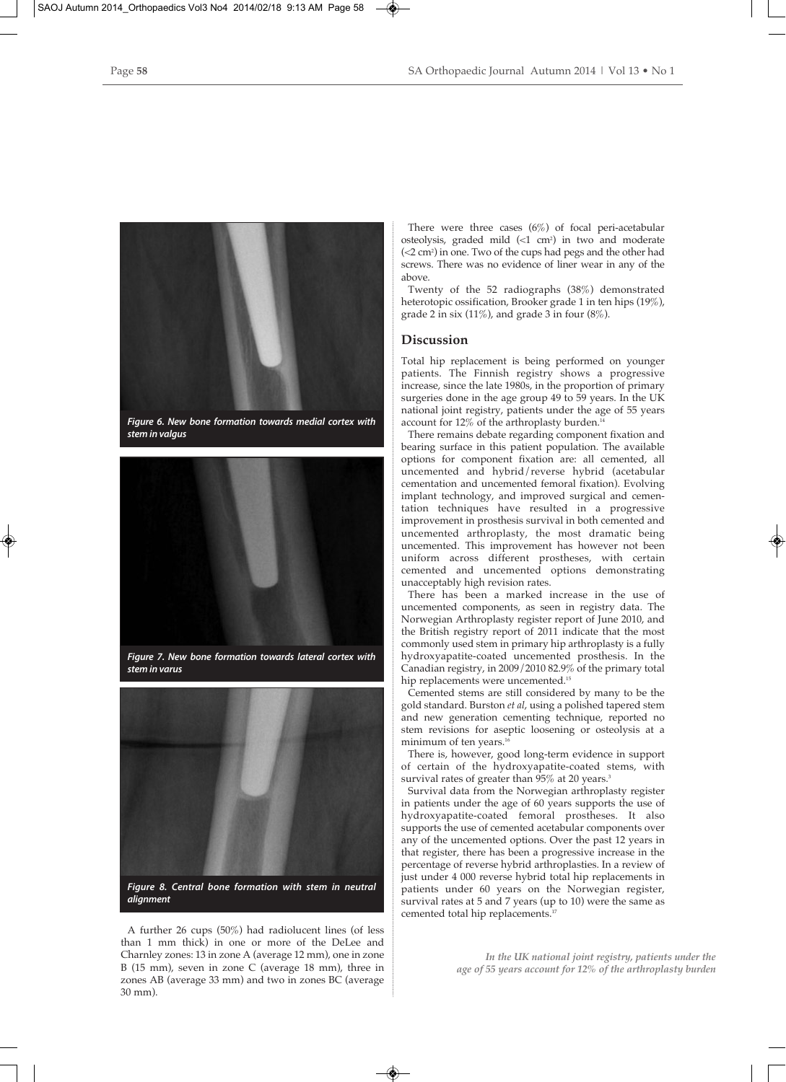

*Figure 6. New bone formation towards medial cortex with stem in valgus*



*Figure 7. New bone formation towards lateral cortex with stem in varus*



*alignment*

A further 26 cups (50%) had radiolucent lines (of less than 1 mm thick) in one or more of the DeLee and Charnley zones: 13 in zone A (average 12 mm), one in zone B (15 mm), seven in zone C (average 18 mm), three in zones AB (average 33 mm) and two in zones BC (average 30 mm).

There were three cases (6%) of focal peri-acetabular osteolysis, graded mild  $\left( < 1 \text{ cm}^2 \right)$  in two and moderate (<2 cm2 ) in one. Two of the cups had pegs and the other had screws. There was no evidence of liner wear in any of the above.

Twenty of the 52 radiographs (38%) demonstrated heterotopic ossification, Brooker grade 1 in ten hips (19%), grade 2 in six (11%), and grade 3 in four  $(8\%)$ .

# **Discussion**

Total hip replacement is being performed on younger patients. The Finnish registry shows a progressive increase, since the late 1980s, in the proportion of primary surgeries done in the age group 49 to 59 years. In the UK national joint registry, patients under the age of 55 years account for 12% of the arthroplasty burden.<sup>1</sup>

There remains debate regarding component fixation and bearing surface in this patient population. The available options for component fixation are: all cemented, all uncemented and hybrid/reverse hybrid (acetabular cementation and uncemented femoral fixation). Evolving implant technology, and improved surgical and cementation techniques have resulted in a progressive improvement in prosthesis survival in both cemented and uncemented arthroplasty, the most dramatic being uncemented. This improvement has however not been uniform across different prostheses, with certain cemented and uncemented options demonstrating unacceptably high revision rates.

There has been a marked increase in the use of uncemented components, as seen in registry data. The Norwegian Arthroplasty register report of June 2010, and the British registry report of 2011 indicate that the most commonly used stem in primary hip arthroplasty is a fully hydroxyapatite-coated uncemented prosthesis. In the Canadian registry, in 2009/2010 82.9% of the primary total hip replacements were uncemented.<sup>15</sup>

Cemented stems are still considered by many to be the gold standard. Burston *et al*, using a polished tapered stem and new generation cementing technique, reported no stem revisions for aseptic loosening or osteolysis at a minimum of ten years.<sup>16</sup>

There is, however, good long-term evidence in support of certain of the hydroxyapatite-coated stems, with survival rates of greater than 95% at 20 years.<sup>3</sup>

Survival data from the Norwegian arthroplasty register in patients under the age of 60 years supports the use of hydroxyapatite-coated femoral prostheses. It also supports the use of cemented acetabular components over any of the uncemented options. Over the past 12 years in that register, there has been a progressive increase in the percentage of reverse hybrid arthroplasties. In a review of just under 4 000 reverse hybrid total hip replacements in patients under 60 years on the Norwegian register, survival rates at 5 and 7 years (up to 10) were the same as cemented total hip replacements.<sup>17</sup>

> *In the UK national joint registry, patients under the age of 55 years account for 12% of the arthroplasty burden*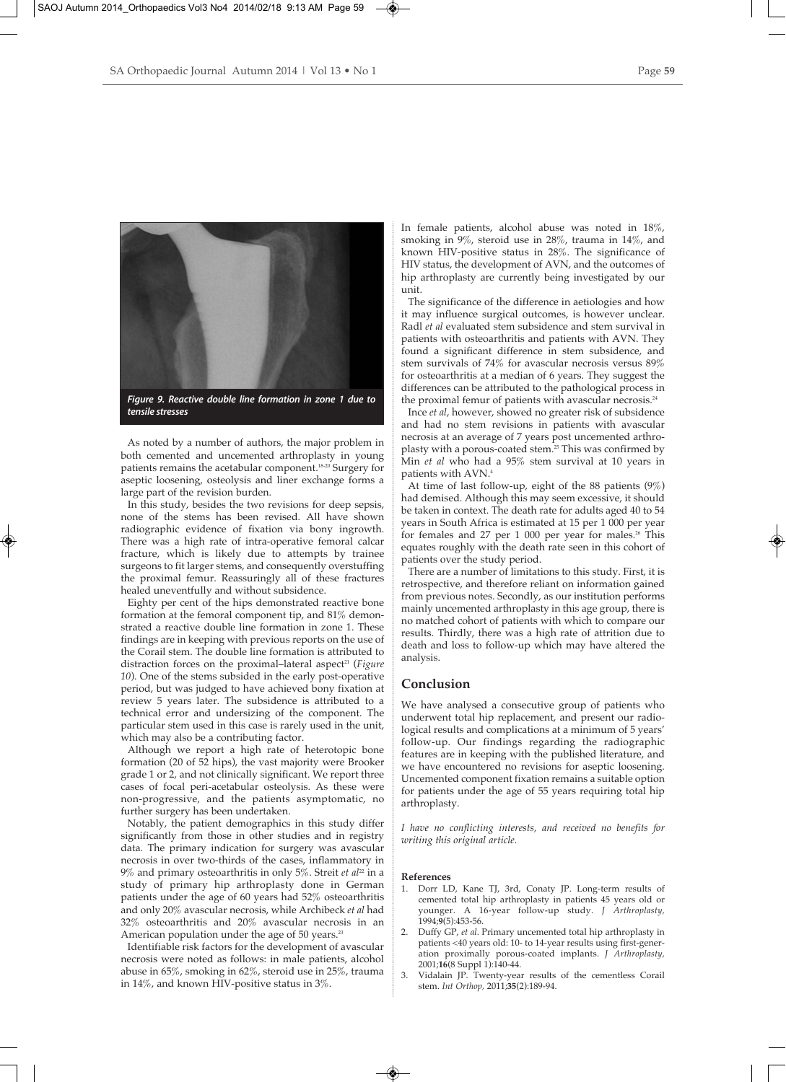

As noted by a number of authors, the major problem in both cemented and uncemented arthroplasty in young patients remains the acetabular component.18-20 Surgery for aseptic loosening, osteolysis and liner exchange forms a large part of the revision burden.

In this study, besides the two revisions for deep sepsis, none of the stems has been revised. All have shown radiographic evidence of fixation via bony ingrowth. There was a high rate of intra-operative femoral calcar fracture, which is likely due to attempts by trainee surgeons to fit larger stems, and consequently overstuffing the proximal femur. Reassuringly all of these fractures healed uneventfully and without subsidence.

Eighty per cent of the hips demonstrated reactive bone formation at the femoral component tip, and 81% demonstrated a reactive double line formation in zone 1. These findings are in keeping with previous reports on the use of the Corail stem. The double line formation is attributed to distraction forces on the proximal–lateral aspect<sup>21</sup> (*Figure 10*). One of the stems subsided in the early post-operative period, but was judged to have achieved bony fixation at review 5 years later. The subsidence is attributed to a technical error and undersizing of the component. The particular stem used in this case is rarely used in the unit, which may also be a contributing factor.

Although we report a high rate of heterotopic bone formation (20 of 52 hips), the vast majority were Brooker grade 1 or 2, and not clinically significant. We report three cases of focal peri-acetabular osteolysis. As these were non-progressive, and the patients asymptomatic, no further surgery has been undertaken.

Notably, the patient demographics in this study differ significantly from those in other studies and in registry data. The primary indication for surgery was avascular necrosis in over two-thirds of the cases, inflammatory in 9% and primary osteoarthritis in only 5%. Streit *et al*<sup>22</sup> in a study of primary hip arthroplasty done in German patients under the age of 60 years had 52% osteoarthritis and only 20% avascular necrosis, while Archibeck *et al* had 32% osteoarthritis and 20% avascular necrosis in an American population under the age of 50 years.<sup>23</sup>

Identifiable risk factors for the development of avascular necrosis were noted as follows: in male patients, alcohol abuse in 65%, smoking in 62%, steroid use in 25%, trauma in 14%, and known HIV-positive status in 3%.

In female patients, alcohol abuse was noted in 18%, smoking in 9%, steroid use in 28%, trauma in 14%, and known HIV-positive status in 28%. The significance of HIV status, the development of AVN, and the outcomes of hip arthroplasty are currently being investigated by our unit.

The significance of the difference in aetiologies and how it may influence surgical outcomes, is however unclear. Radl *et al* evaluated stem subsidence and stem survival in patients with osteoarthritis and patients with AVN. They found a significant difference in stem subsidence, and stem survivals of 74% for avascular necrosis versus 89% for osteoarthritis at a median of 6 years. They suggest the differences can be attributed to the pathological process in the proximal femur of patients with avascular necrosis.<sup>24</sup>

Ince *et al*, however, showed no greater risk of subsidence and had no stem revisions in patients with avascular necrosis at an average of 7 years post uncemented arthroplasty with a porous-coated stem.<sup>25</sup> This was confirmed by Min *et al* who had a 95% stem survival at 10 years in patients with AVN.4

At time of last follow-up, eight of the 88 patients (9%) had demised. Although this may seem excessive, it should be taken in context. The death rate for adults aged 40 to 54 years in South Africa is estimated at 15 per 1 000 per year for females and  $27$  per  $1\,000$  per year for males.<sup>26</sup> This equates roughly with the death rate seen in this cohort of patients over the study period.

There are a number of limitations to this study. First, it is retrospective, and therefore reliant on information gained from previous notes. Secondly, as our institution performs mainly uncemented arthroplasty in this age group, there is no matched cohort of patients with which to compare our results. Thirdly, there was a high rate of attrition due to death and loss to follow-up which may have altered the analysis.

# **Conclusion**

We have analysed a consecutive group of patients who underwent total hip replacement, and present our radiological results and complications at a minimum of 5 years' follow-up. Our findings regarding the radiographic features are in keeping with the published literature, and we have encountered no revisions for aseptic loosening. Uncemented component fixation remains a suitable option for patients under the age of 55 years requiring total hip arthroplasty.

*I have no conflicting interests, and received no benefits for writing this original article.*

#### **References**

- 1. Dorr LD, Kane TJ, 3rd, Conaty JP. Long-term results of cemented total hip arthroplasty in patients 45 years old or younger. A 16-year follow-up study. *J Arthroplasty,* 1994;**9**(5):453-56.
- 2. Duffy GP, *et al*. Primary uncemented total hip arthroplasty in patients <40 years old: 10- to 14-year results using first-generation proximally porous-coated implants. *J Arthroplasty,* 2001;**16**(8 Suppl 1):140-44.
- 3. Vidalain JP. Twenty-year results of the cementless Corail stem. *Int Orthop,* 2011;**35**(2):189-94.